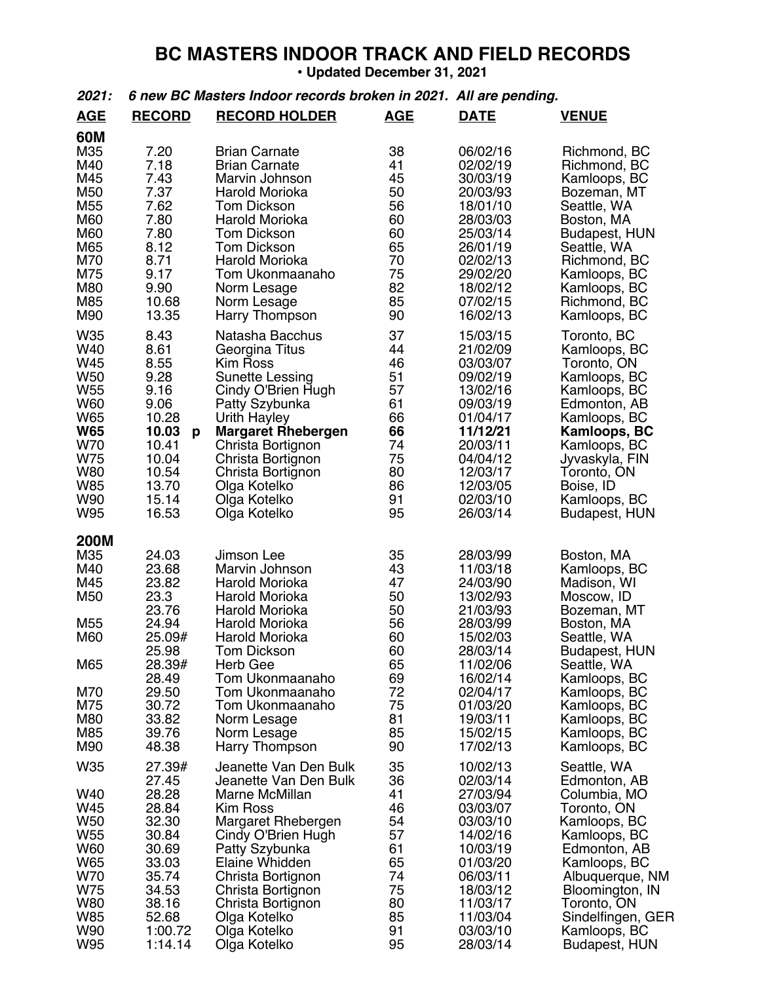## **BC MASTERS INDOOR TRACK AND FIELD RECORDS**

• **Updated December 31, 2021**

## *2021: 6 new BC Masters Indoor records broken in 2021. All are pending.*

| <b>AGE</b>                                                                                                                        | <b>RECORD</b>                                                                                                                        | <b>RECORD HOLDER</b>                                                                                                                                                                                                                                                               | <b>AGE</b>                                                                             | <b>DATE</b>                                                                                                                                                                      | <b>VENUE</b>                                                                                                                                                                                                                                 |
|-----------------------------------------------------------------------------------------------------------------------------------|--------------------------------------------------------------------------------------------------------------------------------------|------------------------------------------------------------------------------------------------------------------------------------------------------------------------------------------------------------------------------------------------------------------------------------|----------------------------------------------------------------------------------------|----------------------------------------------------------------------------------------------------------------------------------------------------------------------------------|----------------------------------------------------------------------------------------------------------------------------------------------------------------------------------------------------------------------------------------------|
| <b>60M</b><br>M35<br>M40<br>M45<br>M50<br>M55<br>M60<br>M60<br>M65<br>M70<br>M75<br>M80<br>M85<br>M90                             | 7.20<br>7.18<br>7.43<br>7.37<br>7.62<br>7.80<br>7.80<br>8.12<br>8.71<br>9.17<br>9.90<br>10.68<br>13.35                               | <b>Brian Carnate</b><br><b>Brian Carnate</b><br>Marvin Johnson<br>Harold Morioka<br><b>Tom Dickson</b><br>Harold Morioka<br><b>Tom Dickson</b><br><b>Tom Dickson</b><br>Harold Morioka<br>Tom Ukonmaanaho<br>Norm Lesage<br>Norm Lesage<br>Harry Thompson                          | 38<br>41<br>45<br>50<br>56<br>60<br>60<br>65<br>70<br>75<br>82<br>85<br>90             | 06/02/16<br>02/02/19<br>30/03/19<br>20/03/93<br>18/01/10<br>28/03/03<br>25/03/14<br>26/01/19<br>02/02/13<br>29/02/20<br>18/02/12<br>07/02/15<br>16/02/13                         | Richmond, BC<br>Richmond, BC<br>Kamloops, BC<br>Bozeman, MT<br>Seattle, WA<br>Boston, MA<br>Budapest, HUN<br>Seattle, WA<br>Richmond, BC<br>Kamloops, BC<br>Kamloops, BC<br>Richmond, BC<br>Kamloops, BC                                     |
| W35<br>W40<br>W45<br><b>W50</b><br><b>W55</b><br>W60<br>W65<br><b>W65</b><br>W70<br>W75<br><b>W80</b><br><b>W85</b><br>W90<br>W95 | 8.43<br>8.61<br>8.55<br>9.28<br>9.16<br>9.06<br>10.28<br>10.03<br>p<br>10.41<br>10.04<br>10.54<br>13.70<br>15.14<br>16.53            | Natasha Bacchus<br>Georgina Titus<br><b>Kim Ross</b><br><b>Sunette Lessing</b><br>Cindy O'Brien Hugh<br>Patty Szybunka<br>Urith Hayley<br><b>Margaret Rhebergen</b><br>Christa Bortignon<br>Christa Bortignon<br>Christa Bortignon<br>Olga Kotelko<br>Olga Kotelko<br>Olga Kotelko | 37<br>44<br>46<br>51<br>57<br>61<br>66<br>66<br>74<br>75<br>80<br>86<br>91<br>95       | 15/03/15<br>21/02/09<br>03/03/07<br>09/02/19<br>13/02/16<br>09/03/19<br>01/04/17<br>11/12/21<br>20/03/11<br>04/04/12<br>12/03/17<br>12/03/05<br>02/03/10<br>26/03/14             | Toronto, BC<br>Kamloops, BC<br>Toronto, ON<br>Kamloops, BC<br>Kamloops, BC<br>Edmonton, AB<br>Kamloops, BC<br><b>Kamloops, BC</b><br>Kamloops, BC<br>Jyvaskyla, FIN<br>Toronto, ON<br>Boise, ID<br>Kamloops, BC<br><b>Budapest, HUN</b>      |
| <b>200M</b><br>M35<br>M40<br>M45<br>M50<br>M55<br>M60<br>M65<br>M70<br>M75<br>M80<br>M85<br>M90                                   | 24.03<br>23.68<br>23.82<br>23.3<br>23.76<br>24.94<br>25.09#<br>25.98<br>28.39#<br>28.49<br>29.50<br>30.72<br>33.82<br>39.76<br>48.38 | Jimson Lee<br>Marvin Johnson<br>Harold Morioka<br>Harold Morioka<br>Harold Morioka<br>Harold Morioka<br><b>Harold Morioka</b><br><b>Tom Dickson</b><br>Herb Gee<br>Tom Ukonmaanaho<br>Tom Ukonmaanaho<br>Tom Ukonmaanaho<br>Norm Lesage<br>Norm Lesage<br><b>Harry Thompson</b>    | 35<br>43<br>47<br>50<br>50<br>56<br>60<br>60<br>65<br>69<br>72<br>75<br>81<br>85<br>90 | 28/03/99<br>11/03/18<br>24/03/90<br>13/02/93<br>21/03/93<br>28/03/99<br>15/02/03<br>28/03/14<br>11/02/06<br>16/02/14<br>02/04/17<br>01/03/20<br>19/03/11<br>15/02/15<br>17/02/13 | Boston, MA<br>Kamloops, BC<br>Madison, WI<br>Moscow, ID<br>Bozeman, MT<br>Boston, MA<br>Seattle, WA<br><b>Budapest, HUN</b><br>Seattle, WA<br>Kamloops, BC<br>Kamloops, BC<br>Kamloops, BC<br>Kamloops, BC<br>Kamloops, BC<br>Kamloops, BC   |
| W35<br>W40<br>W45<br>W50<br>W55<br>W60<br>W65<br>W70<br>W75<br>W80<br>W85<br>W90<br>W95                                           | 27.39#<br>27.45<br>28.28<br>28.84<br>32.30<br>30.84<br>30.69<br>33.03<br>35.74<br>34.53<br>38.16<br>52.68<br>1:00.72<br>1:14.14      | Jeanette Van Den Bulk<br>Jeanette Van Den Bulk<br>Marne McMillan<br><b>Kim Ross</b><br>Margaret Rhebergen<br>Cindy O'Brien Hugh<br>Patty Szybunka<br>Elaine Whidden<br>Christa Bortignon<br>Christa Bortignon<br>Christa Bortignon<br>Olga Kotelko<br>Olga Kotelko<br>Olga Kotelko | 35<br>36<br>41<br>46<br>54<br>57<br>61<br>65<br>74<br>75<br>80<br>85<br>91<br>95       | 10/02/13<br>02/03/14<br>27/03/94<br>03/03/07<br>03/03/10<br>14/02/16<br>10/03/19<br>01/03/20<br>06/03/11<br>18/03/12<br>11/03/17<br>11/03/04<br>03/03/10<br>28/03/14             | Seattle, WA<br>Edmonton, AB<br>Columbia, MO<br>Toronto, ON<br>Kamloops, BC<br>Kamloops, BC<br>Edmonton, AB<br>Kamloops, BC<br>Albuquerque, NM<br>Bloomington, IN<br>Toronto, ON<br>Sindelfingen, GER<br>Kamloops, BC<br><b>Budapest, HUN</b> |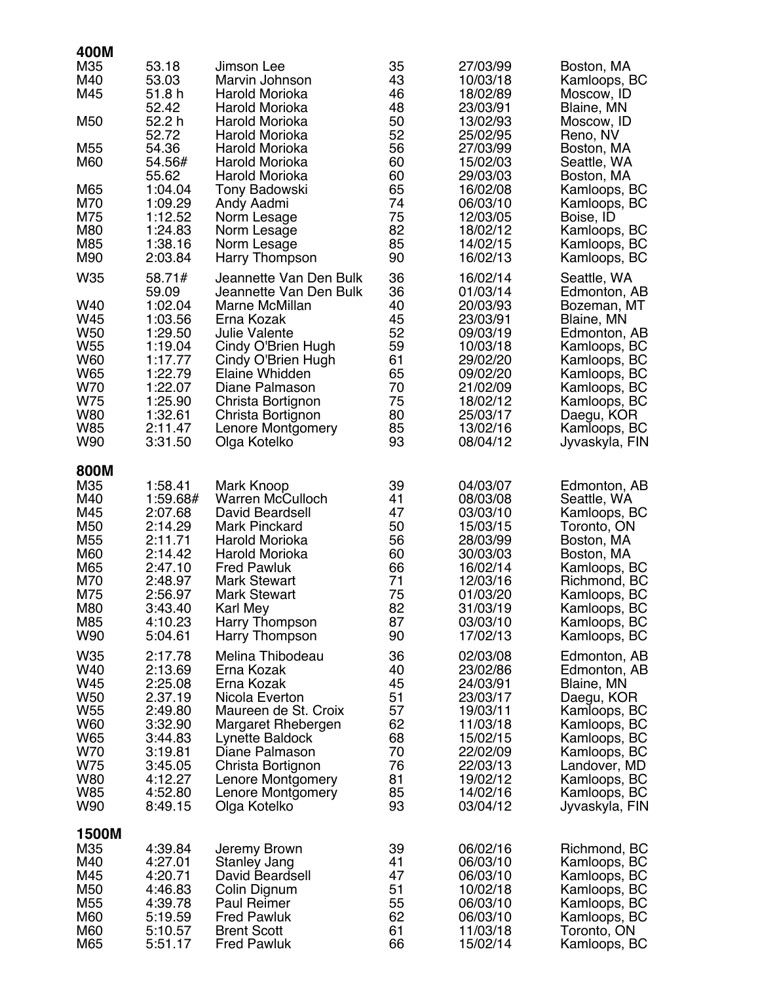| 400M                                                                                                            |                                                                                                                                                         |                                                                                                                                                                                                                                                                         |                                                                                  |                                                                                                                                                                      |                                                                                                                                                                                                                        |
|-----------------------------------------------------------------------------------------------------------------|---------------------------------------------------------------------------------------------------------------------------------------------------------|-------------------------------------------------------------------------------------------------------------------------------------------------------------------------------------------------------------------------------------------------------------------------|----------------------------------------------------------------------------------|----------------------------------------------------------------------------------------------------------------------------------------------------------------------|------------------------------------------------------------------------------------------------------------------------------------------------------------------------------------------------------------------------|
| M35<br>M40<br>M45                                                                                               | 53.18<br>53.03<br>51.8 h                                                                                                                                | Jimson Lee<br>Marvin Johnson<br>Harold Morioka                                                                                                                                                                                                                          | 35<br>43<br>46                                                                   | 27/03/99<br>10/03/18<br>18/02/89                                                                                                                                     | Boston, MA<br>Kamloops, BC<br>Moscow, ID                                                                                                                                                                               |
| M50                                                                                                             | 52.42<br>52.2 h<br>52.72                                                                                                                                | Harold Morioka<br>Harold Morioka<br>Harold Morioka                                                                                                                                                                                                                      | 48<br>50<br>52                                                                   | 23/03/91<br>13/02/93<br>25/02/95                                                                                                                                     | Blaine, MN<br>Moscow, ID<br>Reno, NV                                                                                                                                                                                   |
| M <sub>55</sub><br>M60                                                                                          | 54.36<br>54.56#<br>55.62                                                                                                                                | Harold Morioka<br>Harold Morioka<br>Harold Morioka                                                                                                                                                                                                                      | 56<br>60<br>60                                                                   | 27/03/99<br>15/02/03<br>29/03/03                                                                                                                                     | Boston, MA<br>Seattle, WA<br>Boston, MA                                                                                                                                                                                |
| M65<br>M70<br>M75<br>M80<br>M85<br>M90                                                                          | 1:04.04<br>1:09.29<br>1:12.52<br>1:24.83<br>1:38.16<br>2:03.84                                                                                          | Tony Badowski<br>Andy Aadmi<br>Norm Lesage<br>Norm Lesage<br>Norm Lesage<br>Harry Thompson                                                                                                                                                                              | 65<br>74<br>75<br>82<br>85<br>90                                                 | 16/02/08<br>06/03/10<br>12/03/05<br>18/02/12<br>14/02/15<br>16/02/13                                                                                                 | Kamloops, BC<br>Kamloops, BC<br>Boise, ID<br>Kamloops, BC<br>Kamloops, BC<br>Kamloops, BC                                                                                                                              |
| W35<br>W40<br>W45<br>W <sub>50</sub><br>W <sub>55</sub><br>W60<br>W65<br>W70<br>W75<br>W80<br><b>W85</b><br>W90 | 58.71#<br>59.09<br>1:02.04<br>1:03.56<br>1:29.50<br>1:19.04<br>1:17.77<br>1:22.79<br>1:22.07<br>1:25.90<br>1:32.61<br>2:11.47<br>3:31.50                | Jeannette Van Den Bulk<br>Jeannette Van Den Bulk<br>Marne McMillan<br>Erna Kozak<br><b>Julie Valente</b><br>Cindy O'Brien Hugh<br>Cindy O'Brien Hugh<br>Elaine Whidden<br>Diane Palmason<br>Christa Bortignon<br>Christa Bortignon<br>Lenore Montgomery<br>Olga Kotelko | 36<br>36<br>40<br>45<br>52<br>59<br>61<br>65<br>70<br>75<br>80<br>85<br>93       | 16/02/14<br>01/03/14<br>20/03/93<br>23/03/91<br>09/03/19<br>10/03/18<br>29/02/20<br>09/02/20<br>21/02/09<br>18/02/12<br>25/03/17<br>13/02/16<br>08/04/12             | Seattle, WA<br>Edmonton, AB<br>Bozeman, MT<br>Blaine, MN<br>Edmonton, AB<br>Kamloops, BC<br>Kamloops, BC<br>Kamloops, BC<br>Kamloops, BC<br>Kamloops, BC<br>Daegu, KOR<br>Kamloops, BC<br>Jyvaskyla, FIN               |
| 800M<br>M35<br>M40<br>M45<br>M50<br>M55<br>M60<br>M65<br>M70<br>M75<br>M80<br>M85<br>W90<br>W35<br>W40          | 1:58.41<br>1:59.68#<br>2:07.68<br>2:14.29<br>2:11.71<br>2:14.42<br>2:47.10<br>2:48.97<br>2:56.97<br>3:43.40<br>4:10.23<br>5:04.61<br>2:17.78<br>2:13.69 | Mark Knoop<br>Warren McCulloch<br>David Beardsell<br><b>Mark Pinckard</b><br>Harold Morioka<br>Harold Morioka<br><b>Fred Pawluk</b><br><b>Mark Stewart</b><br>Mark Stewart<br>Karl Mey<br>Harry Thompson<br>Harry Thompson<br>Melina Thibodeau<br>Erna Kozak            | 39<br>41<br>47<br>50<br>56<br>60<br>66<br>71<br>75<br>82<br>87<br>90<br>36<br>40 | 04/03/07<br>08/03/08<br>03/03/10<br>15/03/15<br>28/03/99<br>30/03/03<br>16/02/14<br>12/03/16<br>01/03/20<br>31/03/19<br>03/03/10<br>17/02/13<br>02/03/08<br>23/02/86 | Edmonton, AB<br>Seattle, WA<br>Kamloops, BC<br>Toronto, ON<br>Boston, MA<br>Boston, MA<br>Kamloops, BC<br>Richmond, BC<br>Kamloops, BC<br>Kamloops, BC<br>Kamloops, BC<br>Kamloops, BC<br>Edmonton, AB<br>Edmonton, AB |
| W45<br>W <sub>50</sub><br>W <sub>55</sub><br>W60<br>W65<br>W70<br>W75<br>W80<br>W85<br>W90                      | 2:25.08<br>2.37.19<br>2:49.80<br>3:32.90<br>3:44.83<br>3:19.81<br>3:45.05<br>4:12.27<br>4:52.80<br>8:49.15                                              | Erna Kozak<br>Nicola Everton<br>Maureen de St. Croix<br>Margaret Rhebergen<br>Lynette Baldock<br>Diane Palmason<br>Christa Bortignon<br>Lenore Montgomery<br>Lenore Montgomery<br>Olga Kotelko                                                                          | 45<br>51<br>57<br>62<br>68<br>70<br>76<br>81<br>85<br>93                         | 24/03/91<br>23/03/17<br>19/03/11<br>11/03/18<br>15/02/15<br>22/02/09<br>22/03/13<br>19/02/12<br>14/02/16<br>03/04/12                                                 | Blaine, MN<br>Daegu, KOR<br>Kamloops, BC<br>Kamloops, BC<br>Kamloops, BC<br>Kamloops, BC<br>Landover, MD<br>Kamloops, BC<br>Kamloops, BC<br>Jyvaskyla, FIN                                                             |
| 1500M<br>M35<br>M40<br>M45<br>M50<br>M <sub>55</sub><br>M60<br>M60<br>M65                                       | 4:39.84<br>4:27.01<br>4:20.71<br>4:46.83<br>4:39.78<br>5:19.59<br>5:10.57<br>5:51.17                                                                    | Jeremy Brown<br>Stanley Jang<br>David Beardsell<br>Colin Dignum<br><b>Paul Reimer</b><br><b>Fred Pawluk</b><br><b>Brent Scott</b><br><b>Fred Pawluk</b>                                                                                                                 | 39<br>41<br>47<br>51<br>55<br>62<br>61<br>66                                     | 06/02/16<br>06/03/10<br>06/03/10<br>10/02/18<br>06/03/10<br>06/03/10<br>11/03/18<br>15/02/14                                                                         | Richmond, BC<br>Kamloops, BC<br>Kamloops, BC<br>Kamloops, BC<br>Kamloops, BC<br>Kamloops, BC<br>Toronto, ON<br>Kamloops, BC                                                                                            |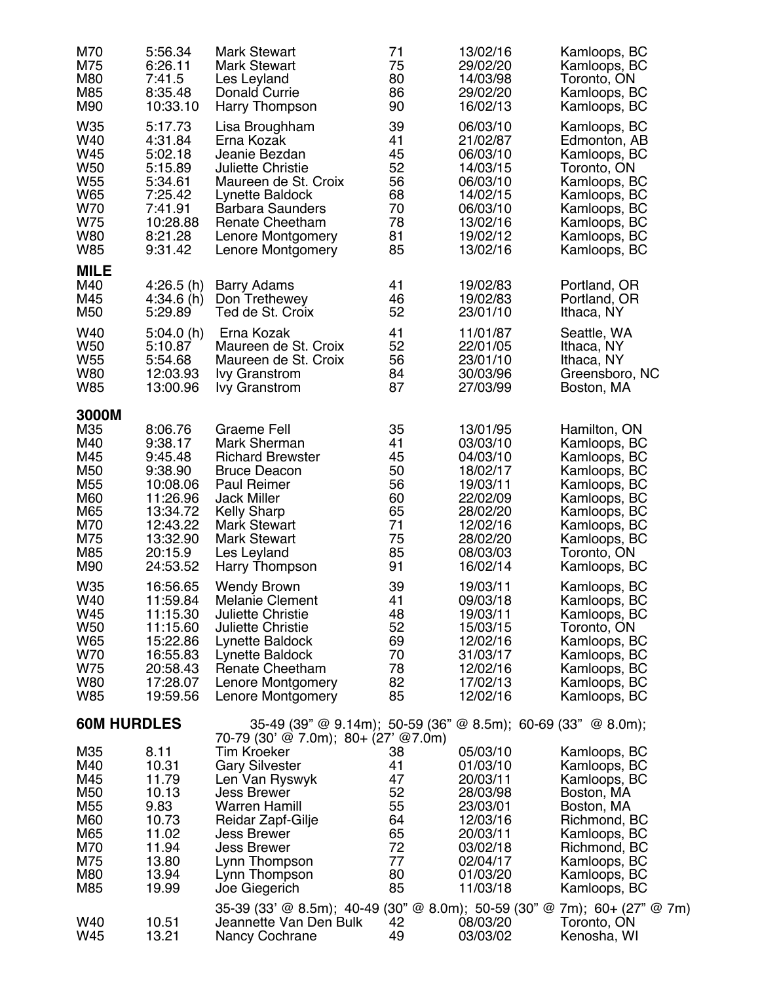| M70                                                                                                                                                                              | 5:56.34                                                                                                                                                                                                                                 | <b>Mark Stewart</b>                                                                                                                                                                                                                                                                                                                                                                                                                | 71                                                                                                                   | 13/02/16                                                                                                                                                                                                                                     | Kamloops, BC                                                                                                                                                                                                                                                                                                               |
|----------------------------------------------------------------------------------------------------------------------------------------------------------------------------------|-----------------------------------------------------------------------------------------------------------------------------------------------------------------------------------------------------------------------------------------|------------------------------------------------------------------------------------------------------------------------------------------------------------------------------------------------------------------------------------------------------------------------------------------------------------------------------------------------------------------------------------------------------------------------------------|----------------------------------------------------------------------------------------------------------------------|----------------------------------------------------------------------------------------------------------------------------------------------------------------------------------------------------------------------------------------------|----------------------------------------------------------------------------------------------------------------------------------------------------------------------------------------------------------------------------------------------------------------------------------------------------------------------------|
| M75                                                                                                                                                                              | 6:26.11                                                                                                                                                                                                                                 | <b>Mark Stewart</b>                                                                                                                                                                                                                                                                                                                                                                                                                | 75                                                                                                                   | 29/02/20                                                                                                                                                                                                                                     | Kamloops, BC                                                                                                                                                                                                                                                                                                               |
| M80                                                                                                                                                                              | 7:41.5                                                                                                                                                                                                                                  | Les Leyland                                                                                                                                                                                                                                                                                                                                                                                                                        | 80                                                                                                                   | 14/03/98                                                                                                                                                                                                                                     | Toronto, ON                                                                                                                                                                                                                                                                                                                |
| M85                                                                                                                                                                              | 8:35.48                                                                                                                                                                                                                                 | Donald Currie                                                                                                                                                                                                                                                                                                                                                                                                                      | 86                                                                                                                   | 29/02/20                                                                                                                                                                                                                                     | Kamloops, BC                                                                                                                                                                                                                                                                                                               |
| M90                                                                                                                                                                              | 10:33.10                                                                                                                                                                                                                                | Harry Thompson                                                                                                                                                                                                                                                                                                                                                                                                                     | 90                                                                                                                   | 16/02/13                                                                                                                                                                                                                                     | Kamloops, BC                                                                                                                                                                                                                                                                                                               |
| W35                                                                                                                                                                              | 5:17.73                                                                                                                                                                                                                                 | Lisa Broughham                                                                                                                                                                                                                                                                                                                                                                                                                     | 39                                                                                                                   | 06/03/10                                                                                                                                                                                                                                     | Kamloops, BC                                                                                                                                                                                                                                                                                                               |
| W40                                                                                                                                                                              | 4:31.84                                                                                                                                                                                                                                 | Erna Kozak                                                                                                                                                                                                                                                                                                                                                                                                                         | 41                                                                                                                   | 21/02/87                                                                                                                                                                                                                                     | Edmonton, AB                                                                                                                                                                                                                                                                                                               |
| W45                                                                                                                                                                              | 5:02.18                                                                                                                                                                                                                                 | Jeanie Bezdan                                                                                                                                                                                                                                                                                                                                                                                                                      | 45                                                                                                                   | 06/03/10                                                                                                                                                                                                                                     | Kamloops, BC                                                                                                                                                                                                                                                                                                               |
| W <sub>50</sub>                                                                                                                                                                  | 5:15.89                                                                                                                                                                                                                                 | <b>Juliette Christie</b>                                                                                                                                                                                                                                                                                                                                                                                                           | 52                                                                                                                   | 14/03/15                                                                                                                                                                                                                                     | Toronto, ON                                                                                                                                                                                                                                                                                                                |
| W <sub>55</sub>                                                                                                                                                                  | 5:34.61                                                                                                                                                                                                                                 | Maureen de St. Croix                                                                                                                                                                                                                                                                                                                                                                                                               | 56                                                                                                                   | 06/03/10                                                                                                                                                                                                                                     | Kamloops, BC                                                                                                                                                                                                                                                                                                               |
| W65                                                                                                                                                                              | 7:25.42                                                                                                                                                                                                                                 | Lynette Baldock                                                                                                                                                                                                                                                                                                                                                                                                                    | 68                                                                                                                   | 14/02/15                                                                                                                                                                                                                                     | Kamloops, BC                                                                                                                                                                                                                                                                                                               |
| W70                                                                                                                                                                              | 7:41.91                                                                                                                                                                                                                                 | <b>Barbara Saunders</b>                                                                                                                                                                                                                                                                                                                                                                                                            | 70                                                                                                                   | 06/03/10                                                                                                                                                                                                                                     | Kamloops, BC                                                                                                                                                                                                                                                                                                               |
| W75                                                                                                                                                                              | 10:28.88                                                                                                                                                                                                                                | <b>Renate Cheetham</b>                                                                                                                                                                                                                                                                                                                                                                                                             | 78                                                                                                                   | 13/02/16                                                                                                                                                                                                                                     | Kamloops, BC                                                                                                                                                                                                                                                                                                               |
| <b>W80</b>                                                                                                                                                                       | 8:21.28                                                                                                                                                                                                                                 | Lenore Montgomery                                                                                                                                                                                                                                                                                                                                                                                                                  | 81                                                                                                                   | 19/02/12                                                                                                                                                                                                                                     | Kamloops, BC                                                                                                                                                                                                                                                                                                               |
| <b>W85</b>                                                                                                                                                                       | 9:31.42                                                                                                                                                                                                                                 | Lenore Montgomery                                                                                                                                                                                                                                                                                                                                                                                                                  | 85                                                                                                                   | 13/02/16                                                                                                                                                                                                                                     | Kamloops, BC                                                                                                                                                                                                                                                                                                               |
| <b>MILE</b><br>M40<br>M45<br>M50                                                                                                                                                 | 4:26.5(h)<br>4:34.6(h)<br>5:29.89                                                                                                                                                                                                       | <b>Barry Adams</b><br>Don Trethewey<br>Ted de St. Croix                                                                                                                                                                                                                                                                                                                                                                            | 41<br>46<br>52                                                                                                       | 19/02/83<br>19/02/83<br>23/01/10                                                                                                                                                                                                             | Portland, OR<br>Portland, OR<br>Ithaca, NY                                                                                                                                                                                                                                                                                 |
| W40                                                                                                                                                                              | 5:04.0(h)                                                                                                                                                                                                                               | Erna Kozak                                                                                                                                                                                                                                                                                                                                                                                                                         | 41                                                                                                                   | 11/01/87                                                                                                                                                                                                                                     | Seattle, WA                                                                                                                                                                                                                                                                                                                |
| W <sub>50</sub>                                                                                                                                                                  | 5:10.87                                                                                                                                                                                                                                 | Maureen de St. Croix                                                                                                                                                                                                                                                                                                                                                                                                               | 52                                                                                                                   | 22/01/05                                                                                                                                                                                                                                     | Ithaca, NY                                                                                                                                                                                                                                                                                                                 |
| W <sub>55</sub>                                                                                                                                                                  | 5:54.68                                                                                                                                                                                                                                 | Maureen de St. Croix                                                                                                                                                                                                                                                                                                                                                                                                               | 56                                                                                                                   | 23/01/10                                                                                                                                                                                                                                     | Ithaca, NY                                                                                                                                                                                                                                                                                                                 |
| <b>W80</b>                                                                                                                                                                       | 12:03.93                                                                                                                                                                                                                                | <b>Ivy Granstrom</b>                                                                                                                                                                                                                                                                                                                                                                                                               | 84                                                                                                                   | 30/03/96                                                                                                                                                                                                                                     | Greensboro, NC                                                                                                                                                                                                                                                                                                             |
| W85                                                                                                                                                                              | 13:00.96                                                                                                                                                                                                                                | <b>Ivy Granstrom</b>                                                                                                                                                                                                                                                                                                                                                                                                               | 87                                                                                                                   | 27/03/99                                                                                                                                                                                                                                     | Boston, MA                                                                                                                                                                                                                                                                                                                 |
| 3000M<br>M35<br>M40<br>M45<br>M50<br>M <sub>55</sub><br>M60<br>M65<br>M70<br>M75<br>M85<br>M90<br>W35<br>W40<br>W45<br>W <sub>50</sub><br>W65<br>W70<br>W75<br><b>W80</b><br>W85 | 8:06.76<br>9:38.17<br>9:45.48<br>9:38.90<br>10:08.06<br>11:26.96<br>13:34.72<br>12:43.22<br>13:32.90<br>20:15.9<br>24:53.52<br>16:56.65<br>11:59.84<br>11:15.30<br>11:15.60<br>15:22.86<br>16:55.83<br>20:58.43<br>17:28.07<br>19:59.56 | <b>Graeme Fell</b><br>Mark Sherman<br><b>Richard Brewster</b><br><b>Bruce Deacon</b><br><b>Paul Reimer</b><br><b>Jack Miller</b><br><b>Kelly Sharp</b><br><b>Mark Stewart</b><br><b>Mark Stewart</b><br>Les Leyland<br>Harry Thompson<br><b>Wendy Brown</b><br>Melanie Clement<br>Juliette Christie<br><b>Juliette Christie</b><br>Lynette Baldock<br>Lynette Baldock<br>Renate Cheetham<br>Lenore Montgomery<br>Lenore Montgomery | 35<br>41<br>45<br>50<br>56<br>60<br>65<br>71<br>75<br>85<br>91<br>39<br>41<br>48<br>52<br>69<br>70<br>78<br>82<br>85 | 13/01/95<br>03/03/10<br>04/03/10<br>18/02/17<br>19/03/11<br>22/02/09<br>28/02/20<br>12/02/16<br>28/02/20<br>08/03/03<br>16/02/14<br>19/03/11<br>09/03/18<br>19/03/11<br>15/03/15<br>12/02/16<br>31/03/17<br>12/02/16<br>17/02/13<br>12/02/16 | Hamilton, ON<br>Kamloops, BC<br>Kamloops, BC<br>Kamloops, BC<br>Kamloops, BC<br>Kamloops, BC<br>Kamloops, BC<br>Kamloops, BC<br>Kamloops, BC<br>Toronto, ON<br>Kamloops, BC<br>Kamloops, BC<br>Kamloops, BC<br>Kamloops, BC<br>Toronto, ON<br>Kamloops, BC<br>Kamloops, BC<br>Kamloops, BC<br>Kamloops, BC<br>Kamloops, BC |
| <b>60M HURDLES</b>                                                                                                                                                               |                                                                                                                                                                                                                                         | 35-49 (39" @ 9.14m); 50-59 (36" @ 8.5m); 60-69 (33" @ 8.0m);<br>70-79 (30' @ 7.0m); 80+ (27' @7.0m)                                                                                                                                                                                                                                                                                                                                |                                                                                                                      |                                                                                                                                                                                                                                              |                                                                                                                                                                                                                                                                                                                            |
| M35                                                                                                                                                                              | 8.11                                                                                                                                                                                                                                    | <b>Tim Kroeker</b>                                                                                                                                                                                                                                                                                                                                                                                                                 | 38                                                                                                                   | 05/03/10                                                                                                                                                                                                                                     | Kamloops, BC                                                                                                                                                                                                                                                                                                               |
| M40                                                                                                                                                                              | 10.31                                                                                                                                                                                                                                   | <b>Gary Silvester</b>                                                                                                                                                                                                                                                                                                                                                                                                              | 41                                                                                                                   | 01/03/10                                                                                                                                                                                                                                     | Kamloops, BC                                                                                                                                                                                                                                                                                                               |
| M45                                                                                                                                                                              | 11.79                                                                                                                                                                                                                                   | Len Van Ryswyk                                                                                                                                                                                                                                                                                                                                                                                                                     | 47                                                                                                                   | 20/03/11                                                                                                                                                                                                                                     | Kamloops, BC                                                                                                                                                                                                                                                                                                               |
| M50                                                                                                                                                                              | 10.13                                                                                                                                                                                                                                   | <b>Jess Brewer</b>                                                                                                                                                                                                                                                                                                                                                                                                                 | 52                                                                                                                   | 28/03/98                                                                                                                                                                                                                                     | Boston, MA                                                                                                                                                                                                                                                                                                                 |
| M <sub>55</sub>                                                                                                                                                                  | 9.83                                                                                                                                                                                                                                    | <b>Warren Hamill</b>                                                                                                                                                                                                                                                                                                                                                                                                               | 55                                                                                                                   | 23/03/01                                                                                                                                                                                                                                     | Boston, MA                                                                                                                                                                                                                                                                                                                 |
| M60                                                                                                                                                                              | 10.73                                                                                                                                                                                                                                   | Reidar Zapf-Gilje                                                                                                                                                                                                                                                                                                                                                                                                                  | 64                                                                                                                   | 12/03/16                                                                                                                                                                                                                                     | Richmond, BC                                                                                                                                                                                                                                                                                                               |
| M65                                                                                                                                                                              | 11.02                                                                                                                                                                                                                                   | Jess Brewer                                                                                                                                                                                                                                                                                                                                                                                                                        | 65                                                                                                                   | 20/03/11                                                                                                                                                                                                                                     | Kamloops, BC                                                                                                                                                                                                                                                                                                               |
| M70                                                                                                                                                                              | 11.94                                                                                                                                                                                                                                   | Jess Brewer                                                                                                                                                                                                                                                                                                                                                                                                                        | 72                                                                                                                   | 03/02/18                                                                                                                                                                                                                                     | Richmond, BC                                                                                                                                                                                                                                                                                                               |
| M75                                                                                                                                                                              | 13.80                                                                                                                                                                                                                                   | Lynn Thompson                                                                                                                                                                                                                                                                                                                                                                                                                      | 77                                                                                                                   | 02/04/17                                                                                                                                                                                                                                     | Kamloops, BC                                                                                                                                                                                                                                                                                                               |
| M80                                                                                                                                                                              | 13.94                                                                                                                                                                                                                                   | Lynn Thompson                                                                                                                                                                                                                                                                                                                                                                                                                      | 80                                                                                                                   | 01/03/20                                                                                                                                                                                                                                     | Kamloops, BC                                                                                                                                                                                                                                                                                                               |
| M85                                                                                                                                                                              | 19.99                                                                                                                                                                                                                                   | Joe Giegerich                                                                                                                                                                                                                                                                                                                                                                                                                      | 85                                                                                                                   | 11/03/18                                                                                                                                                                                                                                     | Kamloops, BC                                                                                                                                                                                                                                                                                                               |
| W40<br>W45                                                                                                                                                                       | 10.51<br>13.21                                                                                                                                                                                                                          | 35-39 (33' @ 8.5m); 40-49 (30" @ 8.0m); 50-59 (30" @ 7m); 60+ (27" @ 7m)<br>Jeannette Van Den Bulk<br>Nancy Cochrane                                                                                                                                                                                                                                                                                                               | 42<br>49                                                                                                             | 08/03/20<br>03/03/02                                                                                                                                                                                                                         | Toronto, ON<br>Kenosha, WI                                                                                                                                                                                                                                                                                                 |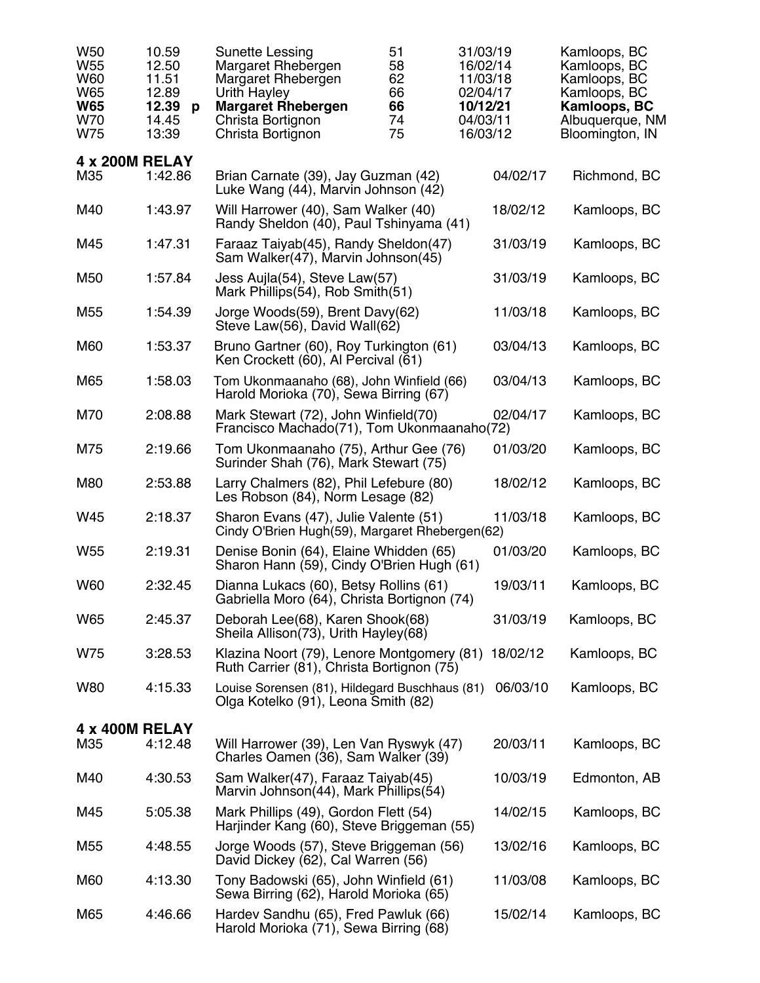| W <sub>50</sub><br>W <sub>55</sub><br>W60<br>W65<br><b>W65</b><br><b>W70</b><br>W75 | 10.59<br>12.50<br>11.51<br>12.89<br>12.39<br>p<br>14.45<br>13:39 | Sunette Lessing<br>Margaret Rhebergen<br>Margaret Rhebergen<br>Urith Hayley<br><b>Margaret Rhebergen</b><br>Christa Bortignon<br>Christa Bortignon | 51<br>58<br>62<br>66<br>66<br>74<br>75 | 31/03/19<br>16/02/14<br>11/03/18<br>02/04/17<br>10/12/21<br>04/03/11<br>16/03/12 |          | Kamloops, BC<br>Kamloops, BC<br>Kamloops, BC<br>Kamloops, BC<br>Kamloops, BC<br>Albuquerque, NM<br>Bloomington, IN |
|-------------------------------------------------------------------------------------|------------------------------------------------------------------|----------------------------------------------------------------------------------------------------------------------------------------------------|----------------------------------------|----------------------------------------------------------------------------------|----------|--------------------------------------------------------------------------------------------------------------------|
| 4 x 200M RELAY<br>M35                                                               | 1:42.86                                                          | Brian Carnate (39), Jay Guzman (42)<br>Luke Wang (44), Marvin Johnson (42)                                                                         |                                        |                                                                                  | 04/02/17 | Richmond, BC                                                                                                       |
| M40                                                                                 | 1:43.97                                                          | Will Harrower (40), Sam Walker (40)<br>Randy Sheldon (40), Paul Tshinyama (41)                                                                     |                                        |                                                                                  | 18/02/12 | Kamloops, BC                                                                                                       |
| M45                                                                                 | 1:47.31                                                          | Faraaz Taiyab(45), Randy Sheldon(47)<br>Sam Walker(47), Marvin Johnson(45)                                                                         |                                        |                                                                                  | 31/03/19 | Kamloops, BC                                                                                                       |
| M <sub>50</sub>                                                                     | 1:57.84                                                          | Jess Aujla(54), Steve Law(57)<br>Mark Phillips(54), Rob Smith(51)                                                                                  |                                        |                                                                                  | 31/03/19 | Kamloops, BC                                                                                                       |
| M <sub>55</sub>                                                                     | 1:54.39                                                          | Jorge Woods(59), Brent Davy(62)<br>Steve Law(56), David Wall(62)                                                                                   |                                        |                                                                                  | 11/03/18 | Kamloops, BC                                                                                                       |
| M60                                                                                 | 1:53.37                                                          | Bruno Gartner (60), Roy Turkington (61)<br>Ken Crockett (60), Al Percival (61)                                                                     |                                        |                                                                                  | 03/04/13 | Kamloops, BC                                                                                                       |
| M65                                                                                 | 1:58.03                                                          | Tom Ukonmaanaho (68), John Winfield (66)<br>Harold Morioka (70), Sewa Birring (67)                                                                 |                                        |                                                                                  | 03/04/13 | Kamloops, BC                                                                                                       |
| M70                                                                                 | 2:08.88                                                          | Mark Stewart (72), John Winfield(70)<br>Francisco Machado(71), Tom Ukonmaanaho(72)                                                                 |                                        |                                                                                  | 02/04/17 | Kamloops, BC                                                                                                       |
| M75                                                                                 | 2:19.66                                                          | Tom Ukonmaanaho (75), Arthur Gee (76)<br>Surinder Shah (76), Mark Stewart (75)                                                                     |                                        |                                                                                  | 01/03/20 | Kamloops, BC                                                                                                       |
| M80                                                                                 | 2:53.88                                                          | Larry Chalmers (82), Phil Lefebure (80)<br>Les Robson (84), Norm Lesage (82)                                                                       |                                        |                                                                                  | 18/02/12 | Kamloops, BC                                                                                                       |
| W45                                                                                 | 2:18.37                                                          | Sharon Evans (47), Julie Valente (51)<br>Cindy O'Brien Hugh(59), Margaret Rhebergen(62)                                                            |                                        |                                                                                  | 11/03/18 | Kamloops, BC                                                                                                       |
| W <sub>55</sub>                                                                     | 2:19.31                                                          | Denise Bonin (64), Elaine Whidden (65)<br>Sharon Hann (59), Cindy O'Brien Hugh (61)                                                                |                                        |                                                                                  | 01/03/20 | Kamloops, BC                                                                                                       |
| W60                                                                                 | 2:32.45                                                          | Dianna Lukacs (60), Betsy Rollins (61)<br>Gabriella Moro (64), Christa Bortignon (74)                                                              |                                        |                                                                                  | 19/03/11 | Kamloops, BC                                                                                                       |
| W65                                                                                 | 2:45.37                                                          | Deborah Lee(68), Karen Shook(68)<br>Sheila Allison(73), Urith Hayley(68)                                                                           |                                        |                                                                                  | 31/03/19 | Kamloops, BC                                                                                                       |
| W75                                                                                 | 3:28.53                                                          | Klazina Noort (79), Lenore Montgomery (81)<br>Ruth Carrier (81), Christa Bortignon (75)                                                            |                                        |                                                                                  | 18/02/12 | Kamloops, BC                                                                                                       |
| W80                                                                                 | 4:15.33                                                          | Louise Sorensen (81), Hildegard Buschhaus (81)<br>Olga Kotelko (91), Leona Smith (82)                                                              |                                        |                                                                                  | 06/03/10 | Kamloops, BC                                                                                                       |
| <b>4 x 400M RELAY</b>                                                               |                                                                  |                                                                                                                                                    |                                        |                                                                                  |          |                                                                                                                    |
| M35                                                                                 | 4:12.48                                                          | Will Harrower (39), Len Van Ryswyk (47)<br>Charles Oamen (36), Sam Walker (39)                                                                     |                                        |                                                                                  | 20/03/11 | Kamloops, BC                                                                                                       |
| M40                                                                                 | 4:30.53                                                          | Sam Walker(47), Faraaz Taiyab(45)<br>Marvin Johnson(44), Mark Phillips(54)                                                                         |                                        |                                                                                  | 10/03/19 | Edmonton, AB                                                                                                       |
| M45                                                                                 | 5:05.38                                                          | Mark Phillips (49), Gordon Flett (54)<br>Harjinder Kang (60), Steve Briggeman (55)                                                                 |                                        |                                                                                  | 14/02/15 | Kamloops, BC                                                                                                       |
| M <sub>55</sub>                                                                     | 4:48.55                                                          | Jorge Woods (57), Steve Briggeman (56)<br>David Dickey (62), Cal Warren (56)                                                                       |                                        |                                                                                  | 13/02/16 | Kamloops, BC                                                                                                       |
| M60                                                                                 | 4:13.30                                                          | Tony Badowski (65), John Winfield (61)<br>Sewa Birring (62), Harold Morioka (65)                                                                   |                                        |                                                                                  | 11/03/08 | Kamloops, BC                                                                                                       |
| M65                                                                                 | 4:46.66                                                          | Hardev Sandhu (65), Fred Pawluk (66)<br>Harold Morioka (71), Sewa Birring (68)                                                                     |                                        |                                                                                  | 15/02/14 | Kamloops, BC                                                                                                       |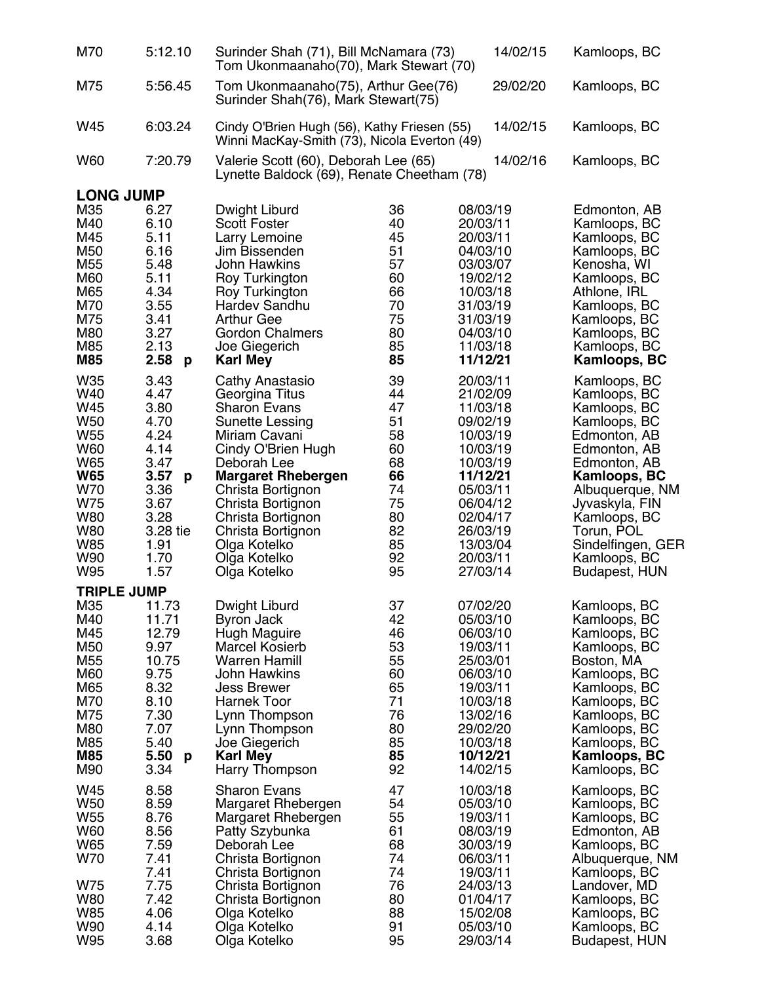| M70                                                                                                                                                       | 5:12.10                                                                                                                       | Surinder Shah (71), Bill McNamara (73)<br>Tom Ukonmaanaho(70), Mark Stewart (70)                                                                                                                                                                                                                   |                                                                                        |                                                                                                                                                                                  | 14/02/15 | Kamloops, BC                                                                                                                                                                                                                                          |
|-----------------------------------------------------------------------------------------------------------------------------------------------------------|-------------------------------------------------------------------------------------------------------------------------------|----------------------------------------------------------------------------------------------------------------------------------------------------------------------------------------------------------------------------------------------------------------------------------------------------|----------------------------------------------------------------------------------------|----------------------------------------------------------------------------------------------------------------------------------------------------------------------------------|----------|-------------------------------------------------------------------------------------------------------------------------------------------------------------------------------------------------------------------------------------------------------|
| M75                                                                                                                                                       | 5:56.45                                                                                                                       | Tom Ukonmaanaho(75), Arthur Gee(76)<br>Surinder Shah(76), Mark Stewart(75)                                                                                                                                                                                                                         |                                                                                        |                                                                                                                                                                                  | 29/02/20 | Kamloops, BC                                                                                                                                                                                                                                          |
| W45                                                                                                                                                       | 6:03.24                                                                                                                       | Cindy O'Brien Hugh (56), Kathy Friesen (55)<br>Winni MacKay-Smith (73), Nicola Everton (49)                                                                                                                                                                                                        |                                                                                        |                                                                                                                                                                                  | 14/02/15 | Kamloops, BC                                                                                                                                                                                                                                          |
| <b>W60</b>                                                                                                                                                | 7:20.79                                                                                                                       | Valerie Scott (60), Deborah Lee (65)<br>Lynette Baldock (69), Renate Cheetham (78)                                                                                                                                                                                                                 |                                                                                        |                                                                                                                                                                                  | 14/02/16 | Kamloops, BC                                                                                                                                                                                                                                          |
| <b>LONG JUMP</b>                                                                                                                                          |                                                                                                                               |                                                                                                                                                                                                                                                                                                    |                                                                                        |                                                                                                                                                                                  |          |                                                                                                                                                                                                                                                       |
| M35<br>M40<br>M45<br>M50<br>M <sub>55</sub><br>M60<br>M65<br>M70<br>M75<br>M80<br>M85<br><b>M85</b>                                                       | 6.27<br>6.10<br>5.11<br>6.16<br>5.48<br>5.11<br>4.34<br>3.55<br>3.41<br>3.27<br>2.13<br>2.58<br>$\mathsf{p}$                  | Dwight Liburd<br>Scott Foster<br>Larry Lemoine<br>Jim Bissenden<br><b>John Hawkins</b><br>Roy Turkington<br>Roy Turkington<br>Hardev Sandhu<br><b>Arthur Gee</b><br><b>Gordon Chalmers</b><br>Joe Giegerich<br><b>Karl Mey</b>                                                                     | 36<br>40<br>45<br>51<br>57<br>60<br>66<br>70<br>75<br>80<br>85<br>85                   | 08/03/19<br>20/03/11<br>20/03/11<br>04/03/10<br>03/03/07<br>19/02/12<br>10/03/18<br>31/03/19<br>31/03/19<br>04/03/10<br>11/03/18<br>11/12/21                                     |          | Edmonton, AB<br>Kamloops, BC<br>Kamloops, BC<br>Kamloops, BC<br>Kenosha, WI<br>Kamloops, BC<br>Athlone, IRL<br>Kamloops, BC<br>Kamloops, BC<br>Kamloops, BC<br>Kamloops, BC<br>Kamloops, BC                                                           |
| W35<br>W40<br>W45<br>W <sub>50</sub><br>W <sub>55</sub><br><b>W60</b><br>W65<br><b>W65</b><br>W70<br>W75<br><b>W80</b><br><b>W80</b><br>W85<br>W90<br>W95 | 3.43<br>4.47<br>3.80<br>4.70<br>4.24<br>4.14<br>3.47<br>3.57<br>p<br>3.36<br>3.67<br>3.28<br>3.28 tie<br>1.91<br>1.70<br>1.57 | Cathy Anastasio<br>Georgina Titus<br><b>Sharon Evans</b><br>Sunette Lessing<br>Miriam Cavani<br>Cindy O'Brien Hugh<br>Deborah Lee<br><b>Margaret Rhebergen</b><br>Christa Bortignon<br>Christa Bortignon<br>Christa Bortignon<br>Christa Bortignon<br>Olga Kotelko<br>Olga Kotelko<br>Olga Kotelko | 39<br>44<br>47<br>51<br>58<br>60<br>68<br>66<br>74<br>75<br>80<br>82<br>85<br>92<br>95 | 20/03/11<br>21/02/09<br>11/03/18<br>09/02/19<br>10/03/19<br>10/03/19<br>10/03/19<br>11/12/21<br>05/03/11<br>06/04/12<br>02/04/17<br>26/03/19<br>13/03/04<br>20/03/11<br>27/03/14 |          | Kamloops, BC<br>Kamloops, BC<br>Kamloops, BC<br>Kamloops, BC<br>Edmonton, AB<br>Edmonton, AB<br>Edmonton, AB<br>Kamloops, BC<br>Albuquerque, NM<br>Jyvaskyla, FIN<br>Kamloops, BC<br>Torun, POL<br>Sindelfingen, GER<br>Kamloops, BC<br>Budapest, HUN |
| <b>TRIPLE JUMP</b><br>M35<br>M40<br>M45<br>M <sub>50</sub><br>M <sub>55</sub><br>M60<br>M65<br>M70<br>M75<br>M80<br>M85<br><b>M85</b><br>M90              | 11.73<br>11.71<br>12.79<br>9.97<br>10.75<br>9.75<br>8.32<br>8.10<br>7.30<br>7.07<br>5.40<br>5.50<br>$\mathbf{p}$<br>3.34      | Dwight Liburd<br><b>Byron Jack</b><br>Hugh Maguire<br><b>Marcel Kosierb</b><br><b>Warren Hamill</b><br><b>John Hawkins</b><br><b>Jess Brewer</b><br><b>Harnek Toor</b><br>Lynn Thompson<br>Lynn Thompson<br>Joe Giegerich<br><b>Karl Mey</b><br>Harry Thompson                                     | 37<br>42<br>46<br>53<br>55<br>60<br>65<br>71<br>76<br>80<br>85<br>85<br>92             | 07/02/20<br>05/03/10<br>06/03/10<br>19/03/11<br>25/03/01<br>06/03/10<br>19/03/11<br>10/03/18<br>13/02/16<br>29/02/20<br>10/03/18<br>10/12/21<br>14/02/15                         |          | Kamloops, BC<br>Kamloops, BC<br>Kamloops, BC<br>Kamloops, BC<br>Boston, MA<br>Kamloops, BC<br>Kamloops, BC<br>Kamloops, BC<br>Kamloops, BC<br>Kamloops, BC<br>Kamloops, BC<br>Kamloops, BC<br>Kamloops, BC                                            |
| W45<br>W50<br>W <sub>55</sub><br>W60<br><b>W65</b><br>W70<br>W75<br><b>W80</b><br><b>W85</b><br>W90<br>W95                                                | 8.58<br>8.59<br>8.76<br>8.56<br>7.59<br>7.41<br>7.41<br>7.75<br>7.42<br>4.06<br>4.14<br>3.68                                  | <b>Sharon Evans</b><br>Margaret Rhebergen<br>Margaret Rhebergen<br>Patty Szybunka<br>Deborah Lee<br>Christa Bortignon<br>Christa Bortignon<br>Christa Bortignon<br>Christa Bortignon<br>Olga Kotelko<br>Olga Kotelko<br>Olga Kotelko                                                               | 47<br>54<br>55<br>61<br>68<br>74<br>74<br>76<br>80<br>88<br>91<br>95                   | 10/03/18<br>05/03/10<br>19/03/11<br>08/03/19<br>30/03/19<br>06/03/11<br>19/03/11<br>24/03/13<br>01/04/17<br>15/02/08<br>05/03/10<br>29/03/14                                     |          | Kamloops, BC<br>Kamloops, BC<br>Kamloops, BC<br>Edmonton, AB<br>Kamloops, BC<br>Albuquerque, NM<br>Kamloops, BC<br>Landover, MD<br>Kamloops, BC<br>Kamloops, BC<br>Kamloops, BC<br><b>Budapest, HUN</b>                                               |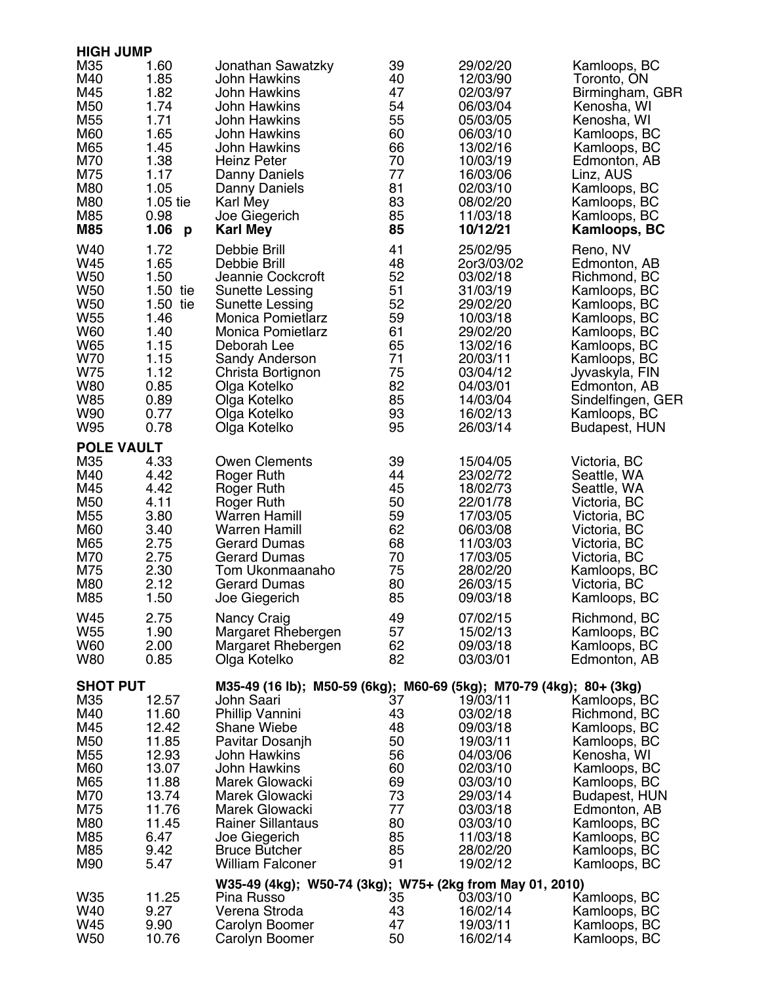| <b>HIGH JUMP</b>                                                                        |                                                                                                                          |                                                                                                                                                                                                                                                       |                                                                            |                                                                                                                                                          |                                                                                                                                                                                                                  |
|-----------------------------------------------------------------------------------------|--------------------------------------------------------------------------------------------------------------------------|-------------------------------------------------------------------------------------------------------------------------------------------------------------------------------------------------------------------------------------------------------|----------------------------------------------------------------------------|----------------------------------------------------------------------------------------------------------------------------------------------------------|------------------------------------------------------------------------------------------------------------------------------------------------------------------------------------------------------------------|
| M35<br>M40<br>M45<br>M50<br>M55<br>M60<br>M65<br>M70<br>M75<br>M80<br>M80<br>M85<br>M85 | 1.60<br>1.85<br>1.82<br>1.74<br>1.71<br>1.65<br>1.45<br>1.38<br>1.17<br>1.05<br>1.05 tie<br>0.98<br>1.06<br>$\mathbf{p}$ | Jonathan Sawatzky<br><b>John Hawkins</b><br>John Hawkins<br><b>John Hawkins</b><br><b>John Hawkins</b><br>John Hawkins<br><b>John Hawkins</b><br><b>Heinz Peter</b><br>Danny Daniels<br>Danny Daniels<br>Karl Mey<br>Joe Giegerich<br><b>Karl Mey</b> | 39<br>40<br>47<br>54<br>55<br>60<br>66<br>70<br>77<br>81<br>83<br>85<br>85 | 29/02/20<br>12/03/90<br>02/03/97<br>06/03/04<br>05/03/05<br>06/03/10<br>13/02/16<br>10/03/19<br>16/03/06<br>02/03/10<br>08/02/20<br>11/03/18<br>10/12/21 | Kamloops, BC<br>Toronto, ON<br>Birmingham, GBR<br>Kenosha, WI<br>Kenosha, WI<br>Kamloops, BC<br>Kamloops, BC<br>Edmonton, AB<br>Linz, AUS<br>Kamloops, BC<br>Kamloops, BC<br>Kamloops, BC<br><b>Kamloops, BC</b> |
| W40                                                                                     | 1.72                                                                                                                     | Debbie Brill                                                                                                                                                                                                                                          | 41                                                                         | 25/02/95                                                                                                                                                 | Reno, NV                                                                                                                                                                                                         |
| W45                                                                                     | 1.65                                                                                                                     | Debbie Brill                                                                                                                                                                                                                                          | 48                                                                         | 2or3/03/02                                                                                                                                               | Edmonton, AB                                                                                                                                                                                                     |
| W <sub>50</sub>                                                                         | 1.50                                                                                                                     | Jeannie Cockcroft                                                                                                                                                                                                                                     | 52                                                                         | 03/02/18                                                                                                                                                 | Richmond, BC                                                                                                                                                                                                     |
| W <sub>50</sub>                                                                         | 1.50 tie                                                                                                                 | Sunette Lessing                                                                                                                                                                                                                                       | 51                                                                         | 31/03/19                                                                                                                                                 | Kamloops, BC                                                                                                                                                                                                     |
| W <sub>50</sub>                                                                         | 1.50 tie                                                                                                                 | Sunette Lessing                                                                                                                                                                                                                                       | 52                                                                         | 29/02/20                                                                                                                                                 | Kamloops, BC                                                                                                                                                                                                     |
| W <sub>55</sub>                                                                         | 1.46                                                                                                                     | <b>Monica Pomietlarz</b>                                                                                                                                                                                                                              | 59                                                                         | 10/03/18                                                                                                                                                 | Kamloops, BC                                                                                                                                                                                                     |
| W60                                                                                     | 1.40                                                                                                                     | <b>Monica Pomietlarz</b>                                                                                                                                                                                                                              | 61                                                                         | 29/02/20                                                                                                                                                 | Kamloops, BC                                                                                                                                                                                                     |
| W65                                                                                     | 1.15                                                                                                                     | Deborah Lee                                                                                                                                                                                                                                           | 65                                                                         | 13/02/16                                                                                                                                                 | Kamloops, BC                                                                                                                                                                                                     |
| W70                                                                                     | 1.15                                                                                                                     | Sandy Anderson                                                                                                                                                                                                                                        | 71                                                                         | 20/03/11                                                                                                                                                 | Kamloops, BC                                                                                                                                                                                                     |
| W75                                                                                     | 1.12                                                                                                                     | Christa Bortignon                                                                                                                                                                                                                                     | 75                                                                         | 03/04/12                                                                                                                                                 | Jyvaskyla, FIN                                                                                                                                                                                                   |
| <b>W80</b>                                                                              | 0.85                                                                                                                     | Olga Kotelko                                                                                                                                                                                                                                          | 82                                                                         | 04/03/01                                                                                                                                                 | Edmonton, AB                                                                                                                                                                                                     |
| W85                                                                                     | 0.89                                                                                                                     | Olga Kotelko                                                                                                                                                                                                                                          | 85                                                                         | 14/03/04                                                                                                                                                 | Sindelfingen, GER                                                                                                                                                                                                |
| W90                                                                                     | 0.77                                                                                                                     | Olga Kotelko                                                                                                                                                                                                                                          | 93                                                                         | 16/02/13                                                                                                                                                 | Kamloops, BC                                                                                                                                                                                                     |
| W95                                                                                     | 0.78                                                                                                                     | Olga Kotelko                                                                                                                                                                                                                                          | 95                                                                         | 26/03/14                                                                                                                                                 | Budapest, HUN                                                                                                                                                                                                    |
| <b>POLE VAULT</b><br>M35                                                                | 4.33                                                                                                                     | <b>Owen Clements</b>                                                                                                                                                                                                                                  | 39                                                                         | 15/04/05                                                                                                                                                 | Victoria, BC                                                                                                                                                                                                     |
| M40                                                                                     | 4.42                                                                                                                     | Roger Ruth                                                                                                                                                                                                                                            | 44                                                                         | 23/02/72                                                                                                                                                 | Seattle, WA                                                                                                                                                                                                      |
| M45                                                                                     | 4.42                                                                                                                     | Roger Ruth                                                                                                                                                                                                                                            | 45                                                                         | 18/02/73                                                                                                                                                 | Seattle, WA                                                                                                                                                                                                      |
| M50                                                                                     | 4.11                                                                                                                     | Roger Ruth                                                                                                                                                                                                                                            | 50                                                                         | 22/01/78                                                                                                                                                 | Victoria, BC                                                                                                                                                                                                     |
| M55                                                                                     | 3.80                                                                                                                     | <b>Warren Hamill</b>                                                                                                                                                                                                                                  | 59                                                                         | 17/03/05                                                                                                                                                 | Victoria, BC                                                                                                                                                                                                     |
| M60                                                                                     | 3.40                                                                                                                     | <b>Warren Hamill</b>                                                                                                                                                                                                                                  | 62                                                                         | 06/03/08                                                                                                                                                 | Victoria, BC                                                                                                                                                                                                     |
| M65                                                                                     | 2.75                                                                                                                     | <b>Gerard Dumas</b>                                                                                                                                                                                                                                   | 68                                                                         | 11/03/03                                                                                                                                                 | Victoria, BC                                                                                                                                                                                                     |
| M70                                                                                     | 2.75                                                                                                                     | <b>Gerard Dumas</b>                                                                                                                                                                                                                                   | 70                                                                         | 17/03/05                                                                                                                                                 | Victoria, BC                                                                                                                                                                                                     |
| M75                                                                                     | 2.30                                                                                                                     | Tom Ukonmaanaho                                                                                                                                                                                                                                       | 75                                                                         | 28/02/20                                                                                                                                                 | Kamloops, BC                                                                                                                                                                                                     |
| M80                                                                                     | 2.12                                                                                                                     | <b>Gerard Dumas</b>                                                                                                                                                                                                                                   | 80                                                                         | 26/03/15                                                                                                                                                 | Victoria, BC                                                                                                                                                                                                     |
| M85                                                                                     | 1.50                                                                                                                     | Joe Giegerich                                                                                                                                                                                                                                         | 85                                                                         | 09/03/18                                                                                                                                                 | Kamloops, BC                                                                                                                                                                                                     |
| W45                                                                                     | 2.75                                                                                                                     | Nancy Craig                                                                                                                                                                                                                                           | 49                                                                         | 07/02/15                                                                                                                                                 | Richmond, BC                                                                                                                                                                                                     |
| W <sub>55</sub>                                                                         | 1.90                                                                                                                     | Margaret Rhebergen                                                                                                                                                                                                                                    | 57                                                                         | 15/02/13                                                                                                                                                 | Kamloops, BC                                                                                                                                                                                                     |
| W60                                                                                     | 2.00                                                                                                                     | Margaret Rhebergen                                                                                                                                                                                                                                    | 62                                                                         | 09/03/18                                                                                                                                                 | Kamloops, BC                                                                                                                                                                                                     |
| <b>W80</b>                                                                              | 0.85                                                                                                                     | Olga Kotelko                                                                                                                                                                                                                                          | 82                                                                         | 03/03/01                                                                                                                                                 | Edmonton, AB                                                                                                                                                                                                     |
| <b>SHOT PUT</b>                                                                         |                                                                                                                          | M35-49 (16 lb); M50-59 (6kg); M60-69 (5kg); M70-79 (4kg); 80+ (3kg)                                                                                                                                                                                   |                                                                            |                                                                                                                                                          |                                                                                                                                                                                                                  |
| M35                                                                                     | 12.57                                                                                                                    | John Saari                                                                                                                                                                                                                                            | 37                                                                         | 19/03/11                                                                                                                                                 | Kamloops, BC                                                                                                                                                                                                     |
| M40                                                                                     | 11.60                                                                                                                    | Phillip Vannini                                                                                                                                                                                                                                       | 43                                                                         | 03/02/18                                                                                                                                                 | Richmond, BC                                                                                                                                                                                                     |
| M45                                                                                     | 12.42                                                                                                                    | <b>Shane Wiebe</b>                                                                                                                                                                                                                                    | 48                                                                         | 09/03/18                                                                                                                                                 | Kamloops, BC                                                                                                                                                                                                     |
| M50                                                                                     | 11.85                                                                                                                    | Pavitar Dosanjh                                                                                                                                                                                                                                       | 50                                                                         | 19/03/11                                                                                                                                                 | Kamloops, BC                                                                                                                                                                                                     |
| M55                                                                                     | 12.93                                                                                                                    | John Hawkins                                                                                                                                                                                                                                          | 56                                                                         | 04/03/06                                                                                                                                                 | Kenosha, WI                                                                                                                                                                                                      |
| M60                                                                                     | 13.07                                                                                                                    | <b>John Hawkins</b>                                                                                                                                                                                                                                   | 60                                                                         | 02/03/10                                                                                                                                                 | Kamloops, BC                                                                                                                                                                                                     |
| M65                                                                                     | 11.88                                                                                                                    | Marek Glowacki                                                                                                                                                                                                                                        | 69                                                                         | 03/03/10                                                                                                                                                 | Kamloops, BC                                                                                                                                                                                                     |
| M70                                                                                     | 13.74                                                                                                                    | Marek Glowacki                                                                                                                                                                                                                                        | 73                                                                         | 29/03/14                                                                                                                                                 | <b>Budapest, HUN</b>                                                                                                                                                                                             |
| M75                                                                                     | 11.76                                                                                                                    | Marek Glowacki                                                                                                                                                                                                                                        | 77                                                                         | 03/03/18                                                                                                                                                 | Edmonton, AB                                                                                                                                                                                                     |
| M80                                                                                     | 11.45                                                                                                                    | <b>Rainer Sillantaus</b>                                                                                                                                                                                                                              | 80                                                                         | 03/03/10                                                                                                                                                 | Kamloops, BC                                                                                                                                                                                                     |
| M85                                                                                     | 6.47                                                                                                                     | Joe Giegerich                                                                                                                                                                                                                                         | 85                                                                         | 11/03/18                                                                                                                                                 | Kamloops, BC                                                                                                                                                                                                     |
| M85                                                                                     | 9.42                                                                                                                     | <b>Bruce Butcher</b>                                                                                                                                                                                                                                  | 85                                                                         | 28/02/20                                                                                                                                                 | Kamloops, BC                                                                                                                                                                                                     |
| M90                                                                                     | 5.47                                                                                                                     | <b>William Falconer</b>                                                                                                                                                                                                                               | 91                                                                         | 19/02/12                                                                                                                                                 | Kamloops, BC                                                                                                                                                                                                     |
| W35                                                                                     | 11.25                                                                                                                    | W35-49 (4kg); W50-74 (3kg); W75+ (2kg from May 01, 2010)<br>Pina Russo                                                                                                                                                                                | 35                                                                         | 03/03/10                                                                                                                                                 | Kamloops, BC                                                                                                                                                                                                     |
| W40                                                                                     | 9.27                                                                                                                     | Verena Stroda                                                                                                                                                                                                                                         | 43                                                                         | 16/02/14                                                                                                                                                 | Kamloops, BC                                                                                                                                                                                                     |
| W45                                                                                     | 9.90                                                                                                                     | Carolyn Boomer                                                                                                                                                                                                                                        | 47                                                                         | 19/03/11                                                                                                                                                 | Kamloops, BC                                                                                                                                                                                                     |
| W <sub>50</sub>                                                                         | 10.76                                                                                                                    | Carolyn Boomer                                                                                                                                                                                                                                        | 50                                                                         | 16/02/14                                                                                                                                                 | Kamloops, BC                                                                                                                                                                                                     |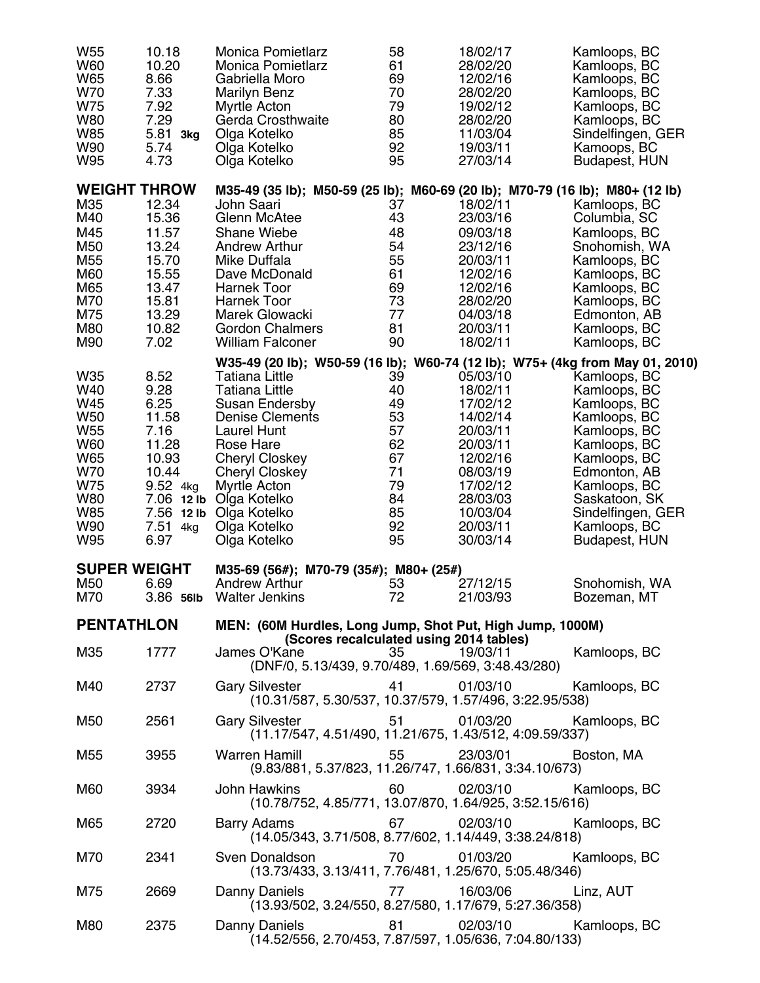| W <sub>55</sub><br>W60<br>W65<br>W70<br>W75<br><b>W80</b><br><b>W85</b><br><b>W90</b><br>W95                                           | 10.18<br>10.20<br>8.66<br>7.33<br>7.92<br>7.29<br>5.81 3kg<br>5.74<br>4.73                       | <b>Monica Pomietlarz</b><br><b>Monica Pomietlarz</b><br>Gabriella Moro<br><b>Marilyn Benz</b><br>Myrtle Acton<br>Gerda Crosthwaite<br>Olga Kotelko<br>Olga Kotelko<br>Olga Kotelko                                                                                                                                                                                    | 58<br>61<br>69<br>70<br>79<br>80<br>85<br>92<br>95                         | 18/02/17<br>28/02/20<br>12/02/16<br>28/02/20<br>19/02/12<br>28/02/20<br>11/03/04<br>19/03/11<br>27/03/14                                                 | Kamloops, BC<br>Kamloops, BC<br>Kamloops, BC<br>Kamloops, BC<br>Kamloops, BC<br>Kamloops, BC<br>Sindelfingen, GER<br>Kamoops, BC<br><b>Budapest, HUN</b>                                                            |
|----------------------------------------------------------------------------------------------------------------------------------------|--------------------------------------------------------------------------------------------------|-----------------------------------------------------------------------------------------------------------------------------------------------------------------------------------------------------------------------------------------------------------------------------------------------------------------------------------------------------------------------|----------------------------------------------------------------------------|----------------------------------------------------------------------------------------------------------------------------------------------------------|---------------------------------------------------------------------------------------------------------------------------------------------------------------------------------------------------------------------|
| <b>WEIGHT THROW</b><br>M35<br>M40<br>M45<br>M50<br>M <sub>55</sub><br>M60<br>M65<br>M70<br>M75<br>M80<br>M90                           | 12.34<br>15.36<br>11.57<br>13.24<br>15.70<br>15.55<br>13.47<br>15.81<br>13.29<br>10.82<br>7.02   | M35-49 (35 lb); M50-59 (25 lb); M60-69 (20 lb); M70-79 (16 lb); M80+ (12 lb)<br>John Saari<br>Glenn McAtee<br><b>Shane Wiebe</b><br><b>Andrew Arthur</b><br>Mike Duffala<br>Dave McDonald<br>Harnek Toor<br><b>Harnek Toor</b><br>Marek Glowacki<br><b>Gordon Chalmers</b><br><b>William Falconer</b>                                                                 | 37<br>43<br>48<br>54<br>55<br>61<br>69<br>73<br>77<br>81<br>90             | 18/02/11<br>23/03/16<br>09/03/18<br>23/12/16<br>20/03/11<br>12/02/16<br>12/02/16<br>28/02/20<br>04/03/18<br>20/03/11<br>18/02/11                         | Kamloops, BC<br>Columbia, SC<br>Kamloops, BC<br>Snohomish, WA<br>Kamloops, BC<br>Kamloops, BC<br>Kamloops, BC<br>Kamloops, BC<br>Edmonton, AB<br>Kamloops, BC<br>Kamloops, BC                                       |
| W35<br>W40<br>W45<br><b>W50</b><br>W <sub>55</sub><br><b>W60</b><br>W65<br><b>W70</b><br>W75<br><b>W80</b><br><b>W85</b><br>W90<br>W95 | 8.52<br>9.28<br>6.25<br>11.58<br>7.16<br>11.28<br>10.93<br>10.44<br>9.52 4kg<br>7.51 4kg<br>6.97 | W35-49 (20 lb); W50-59 (16 lb); W60-74 (12 lb); W75+ (4kg from May 01, 2010)<br><b>Tatiana Little</b><br><b>Tatiana Little</b><br><b>Susan Endersby</b><br><b>Denise Clements</b><br>Laurel Hunt<br>Rose Hare<br><b>Cheryl Closkey</b><br><b>Cheryl Closkey</b><br>Myrtle Acton<br>7.06 12 lb Olga Kotelko<br>7.56 12 lb Olga Kotelko<br>Olga Kotelko<br>Olga Kotelko | 39<br>40<br>49<br>53<br>57<br>62<br>67<br>71<br>79<br>84<br>85<br>92<br>95 | 05/03/10<br>18/02/11<br>17/02/12<br>14/02/14<br>20/03/11<br>20/03/11<br>12/02/16<br>08/03/19<br>17/02/12<br>28/03/03<br>10/03/04<br>20/03/11<br>30/03/14 | Kamloops, BC<br>Kamloops, BC<br>Kamloops, BC<br>Kamloops, BC<br>Kamloops, BC<br>Kamloops, BC<br>Kamloops, BC<br>Edmonton, AB<br>Kamloops, BC<br>Saskatoon, SK<br>Sindelfingen, GER<br>Kamloops, BC<br>Budapest, HUN |
| <b>SUPER WEIGHT</b><br>M50<br>M70                                                                                                      | 6.69<br>3.86 56lb                                                                                | M35-69 (56#); M70-79 (35#); M80+ (25#)<br><b>Andrew Arthur</b><br><b>Walter Jenkins</b>                                                                                                                                                                                                                                                                               | 53<br>72                                                                   | 27/12/15<br>21/03/93                                                                                                                                     | Snohomish, WA<br>Bozeman, MT                                                                                                                                                                                        |
| <b>PENTATHLON</b>                                                                                                                      |                                                                                                  | MEN: (60M Hurdles, Long Jump, Shot Put, High Jump, 1000M)<br>(Scores recalculated using 2014 tables)                                                                                                                                                                                                                                                                  |                                                                            |                                                                                                                                                          |                                                                                                                                                                                                                     |
| M35                                                                                                                                    | 1777                                                                                             | James O'Kane<br>(DNF/0, 5.13/439, 9.70/489, 1.69/569, 3:48.43/280)                                                                                                                                                                                                                                                                                                    | 35                                                                         | 19/03/11                                                                                                                                                 | Kamloops, BC                                                                                                                                                                                                        |
| M40                                                                                                                                    | 2737                                                                                             | <b>Gary Silvester</b><br>(10.31/587, 5.30/537, 10.37/579, 1.57/496, 3:22.95/538)                                                                                                                                                                                                                                                                                      | 41 — 1                                                                     | 01/03/10                                                                                                                                                 | Kamloops, BC                                                                                                                                                                                                        |
| M50                                                                                                                                    | 2561                                                                                             | <b>Gary Silvester</b><br>(11.17/547, 4.51/490, 11.21/675, 1.43/512, 4:09.59/337)                                                                                                                                                                                                                                                                                      | 51                                                                         | 01/03/20                                                                                                                                                 | Kamloops, BC                                                                                                                                                                                                        |
| M55                                                                                                                                    | 3955                                                                                             | <b>Warren Hamill</b><br>(9.83/881, 5.37/823, 11.26/747, 1.66/831, 3:34.10/673)                                                                                                                                                                                                                                                                                        | 55                                                                         | 23/03/01                                                                                                                                                 | Boston, MA                                                                                                                                                                                                          |
| M60                                                                                                                                    | 3934                                                                                             | <b>John Hawkins</b><br>(10.78/752, 4.85/771, 13.07/870, 1.64/925, 3:52.15/616)                                                                                                                                                                                                                                                                                        | 60                                                                         | 02/03/10                                                                                                                                                 | Kamloops, BC                                                                                                                                                                                                        |
| M65                                                                                                                                    | 2720                                                                                             | Barry Adams<br>(14.05/343, 3.71/508, 8.77/602, 1.14/449, 3:38.24/818)                                                                                                                                                                                                                                                                                                 | 67                                                                         | 02/03/10                                                                                                                                                 | Kamloops, BC                                                                                                                                                                                                        |
| M70                                                                                                                                    | 2341                                                                                             | Sven Donaldson<br>(13.73/433, 3.13/411, 7.76/481, 1.25/670, 5:05.48/346)                                                                                                                                                                                                                                                                                              | 70                                                                         | 01/03/20                                                                                                                                                 | Kamloops, BC                                                                                                                                                                                                        |
| M75                                                                                                                                    | 2669                                                                                             | Danny Daniels<br>(13.93/502, 3.24/550, 8.27/580, 1.17/679, 5:27.36/358)                                                                                                                                                                                                                                                                                               | 77                                                                         | 16/03/06                                                                                                                                                 | Linz, AUT                                                                                                                                                                                                           |
| M80                                                                                                                                    | 2375                                                                                             | Danny Daniels<br>(14.52/556, 2.70/453, 7.87/597, 1.05/636, 7:04.80/133)                                                                                                                                                                                                                                                                                               | 81 — 1                                                                     | 02/03/10                                                                                                                                                 | Kamloops, BC                                                                                                                                                                                                        |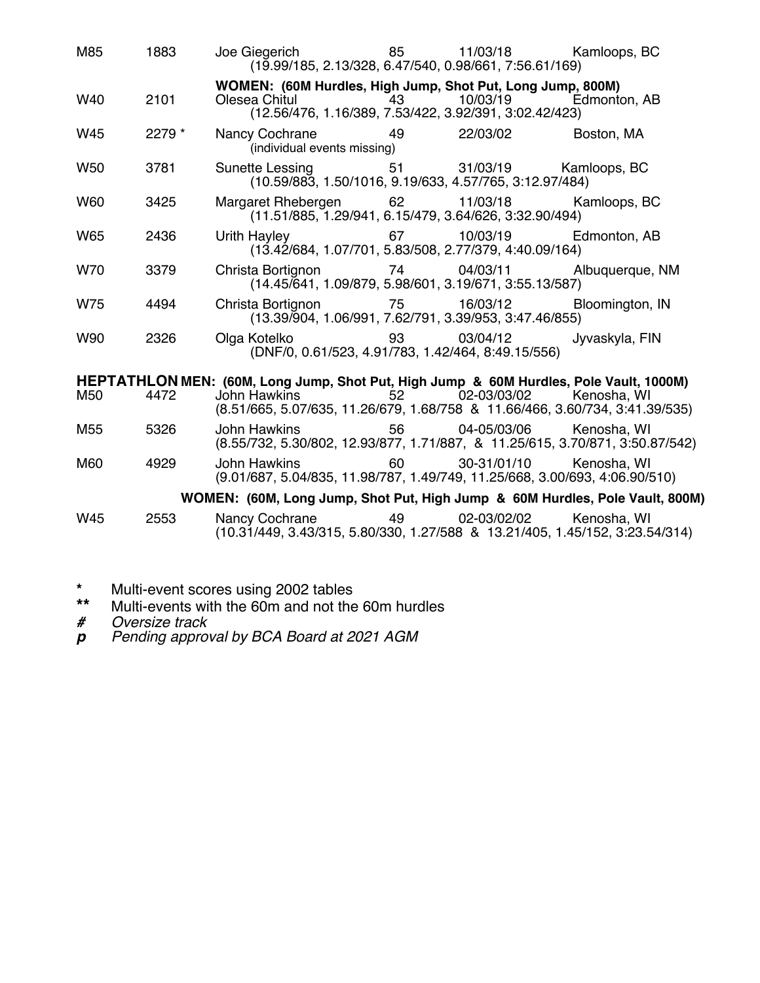| M85             | 1883   | Joe Giegerich 65<br>(19.99/185, 2.13/328, 6.47/540, 0.98/661, 7:56.61/169)                                                            |         | 11/03/18       | Kamloops, BC    |
|-----------------|--------|---------------------------------------------------------------------------------------------------------------------------------------|---------|----------------|-----------------|
| W40             | 2101   | WOMEN: (60M Hurdles, High Jump, Shot Put, Long Jump, 800M)<br>Olesea Chitul<br>(12.56/476, 1.16/389, 7.53/422, 3.92/391, 3:02.42/423) | 43      | 10/03/19       | Edmonton, AB    |
| W45             | 2279 * | Nancy Cochrane<br>(individual events missing)                                                                                         | 49      | 22/03/02       | Boston, MA      |
| W <sub>50</sub> | 3781   | Sunette Lessing 51<br>$(10.59/883, 1.50/1016, 9.19/633, 4.57/765, 3.12.97/484)$                                                       |         | 31/03/19       | Kamloops, BC    |
| <b>W60</b>      | 3425   | Margaret Rhebergen 62 11/03/18<br>(11.51/885, 1.29/941, 6.15/479, 3.64/626, 3:32.90/494)                                              |         |                | Kamloops, BC    |
| W65             | 2436   | Urith Hayley 67<br>(13.42/684, 1.07/701, 5.83/508, 2.77/379, 4:40.09/164)                                                             |         | 10/03/19       | Edmonton, AB    |
| W70             | 3379   | Christa Bortignon 74 04/03/11<br>(14.45/641, 1.09/879, 5.98/601, 3.19/671, 3:55.13/587)                                               |         |                | Albuquerque, NM |
| W75             | 4494   | Christa Bortignon 75<br>$(13.39\sqrt{904}, 1.06\sqrt{991}, 7.62\sqrt{791}, 3.39\sqrt{953}, 3.47.46\sqrt{855})$                        |         | 16/03/12       | Bloomington, IN |
| W90             | 2326   | Olga Kotelko katalaria katsa<br>(DNF/0, 0.61/523, 4.91/783, 1.42/464, 8:49.15/556)                                                    |         | 03/04/12       | Jyvaskyla, FIN  |
|                 |        | HEPTATHLON MEN: (60M, Long Jump, Shot Put, High Jump & 60M Hurdles, Pole Vault, 1000M)                                                |         |                |                 |
| M50             | 4472   | John Hawkins<br>(8.51/665, 5.07/635, 11.26/679, 1.68/758 & 11.66/466, 3.60/734, 3:41.39/535)                                          |         | 52 02-03/03/02 | Kenosha, WI     |
| M55             | 5326   | John Hawkins <b>State State</b><br>(8.55/732, 5.30/802, 12.93/877, 1.71/887, & 11.25/615, 3.70/871, 3:50.87/542)                      |         | 56 04-05/03/06 | Kenosha, WI     |
| M60             | 4929   | John Hawkins<br>(9.01/687, 5.04/835, 11.98/787, 1.49/749, 11.25/668, 3.00/693, 4:06.90/510)                                           | 60      | 30-31/01/10    | Kenosha, WI     |
|                 |        | WOMEN: (60M, Long Jump, Shot Put, High Jump & 60M Hurdles, Pole Vault, 800M)                                                          |         |                |                 |
| W45             | 2553   | Nancy Cochrane Nancy<br>(10.31/449, 3.43/315, 5.80/330, 1.27/588 & 13.21/405, 1.45/152, 3:23.54/314)                                  | 49 — 10 | 02-03/02/02    | Kenosha, WI     |

- **\*** Multi-event scores using 2002 tables
- **\*\*** Multi-events with the 60m and not the 60m hurdles
- *# Oversize track*
- *p Pending approval by BCA Board at 2021 AGM*